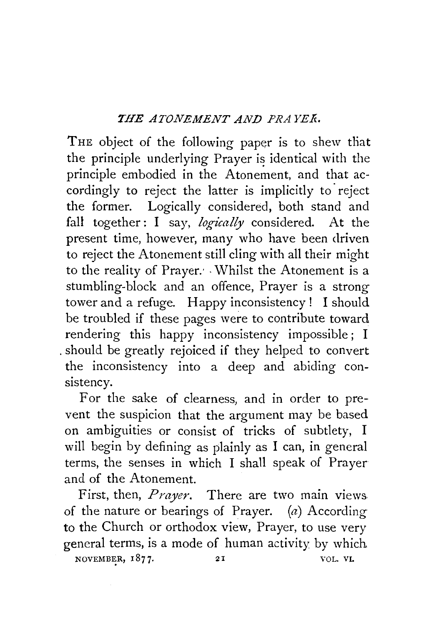## *THE ATONEMENT AND PRAYEK.*

THE object of the following paper is to shew that the principle underlying Prayer is identical with the principle embodied in the Atonement, and that accordingly to reject the latter is implicitly to reject the former. Logically considered, both stand and fall together: I say, *logically* considered. At the present time, however, many who have been driven to reject the Atonement still cling with all their might to the reality of Prayer. Whilst the Atonement is a stumbling-block and an offence, Prayer is a strong tower and a refuge. Happy inconsistency ! I should be troubled if these pages were to contribute toward rendering this happy inconsistency impossible; I . should be greatly rejoiced if they helped to convert the inconsistency into a deep and abiding consistency.

For the sake of clearness, and in order to prevent the suspicion that the argument may be based on ambiguities or consist of tricks of subtlety, I will begin by defining as plainly as I can, in general terms, the senses in which I shall speak of Prayer and of the Atonement.

First, then, *Prayer.* There are two main views of the nature or bearings of Prayer.  $(a)$  According to the Church or orthodox view, Prayer, to use very general terms, is a mode of human activity by which NOVEMBER, 1877. 21 VOL. VI.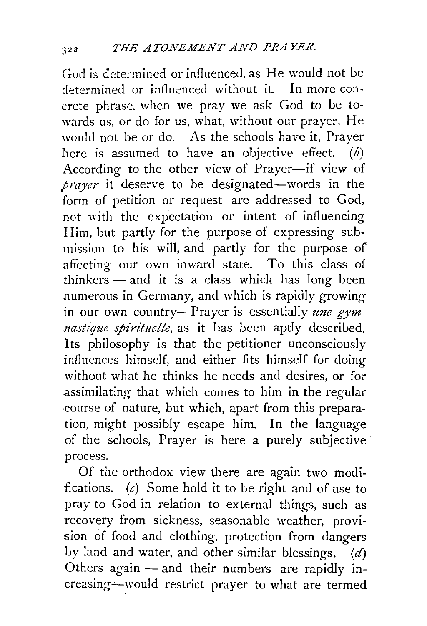God is determined or influenced, as He would not be determined or influenced without it. In more concrete phrase, when we pray we ask God to be towards us, or do for us, what, without our prayer, He would not be or do. As the schools have it, Prayer here is assumed to have an objective effect.  $(b)$ According to the other view of Prayer-if view of prayer it deserve to be designated-words in the form of petition or request are addressed to God, not with the expectation or intent of influencing Him, but partly for the purpose of expressing submission to his will, and partly for the purpose of affecting our own inward state. To this class of  $thinkers$   $-$  and it is a class which has long been numerous in Germany, and which is rapidly growing in our own country-Prayer is essentially *une gym nastique spirituelle*, as it has been aptly described. Its philosophy is that the petitioner unconsciously influences himself, and either fits himself for doing without what he thinks he needs and desires, or for .assimilating that which comes to him in the regular -course of nature, but which, apart from this preparation, might possibly escape him. In the language .of the schools, Prayer is here a purely subjective process.

Of the orthodox view there are again two modifications. (c) Some hold it to be right and of use to pray to God in relation to external things, such as recovery from sickness, seasonable weather, provision of food and clothing, protection from dangers by land and water, and other similar blessings.  $(d)$ Others again  $-$  and their numbers are rapidly increasing-would restrict prayer to what are termed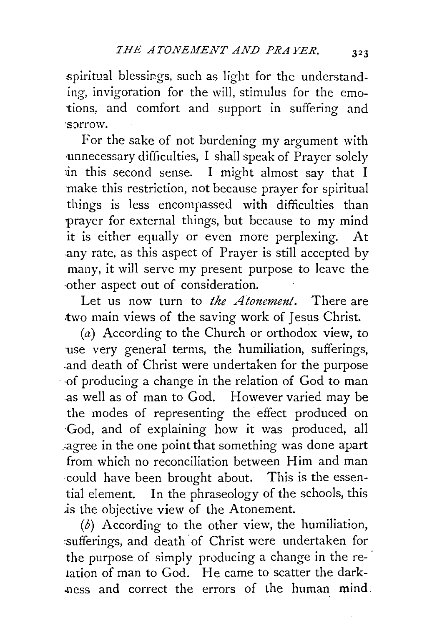spiritual blessings, such as light for the understanding, invigoration for the will, stimulus for the emotions, and comfort and support in suffering and ·s::»rrow.

For the sake of not burdening my argument with ·unnecessary difficulties, I shall speak of Prayer solely in this second sense. I might almost say that I make this restriction, not because prayer for spiritual things is less encompassed with difficulties than prayer for external things, but because to my mind it is either equally or even more perplexing. At any rate, as this aspect of Prayer is still accepted by many, it will serve my present purpose to leave the ·other aspect out of consideration.

Let us now turn to *the Atonement.* There are .two main views of the saving work of Jesus Christ.

(a) According to the Church or orthodox view, to use very general terms, the humiliation, sufferings, .and death of Christ were undertaken for the purpose · -of producing a change in the relation of God to man as well as of man to God. However varied may be the modes of representing the effect produced on ·God, and of explaining how it was produced, all \_:agree in the one point that something was done apart from which no reconciliation between Him and man -could have been brought about. This is the essential element. In the phraseology of the schools, this *is* the objective view of the Atonement.

(b) According to the other view, the humiliation, sufferings, and death of Christ were undertaken for the purpose of simply producing a change in the relation of man to God. He came to scatter the dark- -ness and correct the errors of the human mind.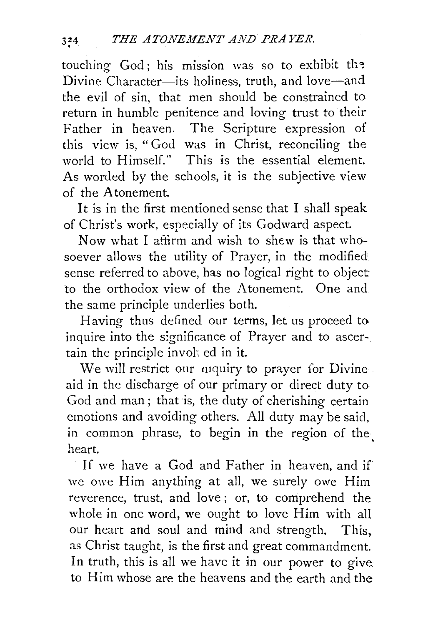touching  $God$ ; his mission was so to exhibit the Divine Character-its holiness, truth, and love-and the evil of sin, that men should be constrained to return in humble penitence and loving trust to their Father in heaven. The Scripture expression of this view is, " God was in Christ, reconciling the world to Himself." This is the essential element. As worded by the schools, it is the subjective view of the Atonement.

It is in the first mentioned sense that I shall speak of Christ's work, especially of its Godward aspect.

Now what I affirm and wish to shew is that whosoever allows the utility of Prayer, in the modified sense referred to above, has no logical right to object to the orthodox view of the Atonement. One and the same principle underlies both.

Having thus defined our terms, let us proceed to. inquire into the significance of Prayer and to ascertain the principle invoh ed in it.

We will restrict our mquiry to prayer for Divine. aid in the discharge of our primary or direct duty to God and man; that is, the duty of cherishing certain emotions and avoiding others. All duty may be said, in common phrase, to begin in the region of the. heart.

If we have a God and Father in heaven, and if we owe Him anything at all, we surely owe Him reverence, trust, and love ; or, to comprehend the whole in one word, we ought to love Him with all our heart and soul and mind and strength. This, as Christ taught, is the first and great commandment. In truth, this is all we have it in our power to give to Him whose are the heavens and the earth and the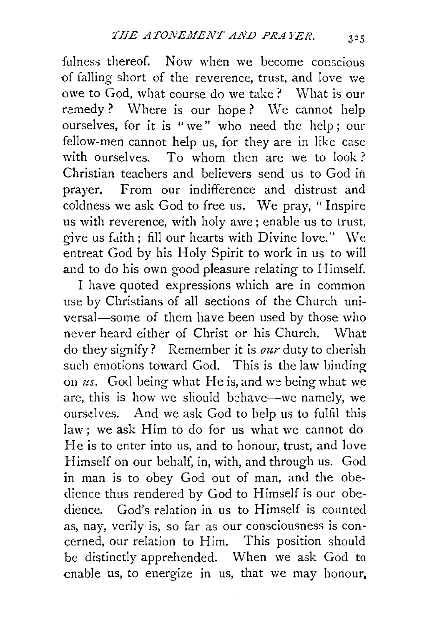fulness thereof. Now when we become conscious of falling short of the reverence, trust, and love we owe to God, what course do we take? What is our remedy? Where is our hope? We cannot help ourselves, for it is "we" who need the help; our fellow-men cannot help us, for they are in like case with ourselves. To whom then are we to look? Christian teachers and believers send us to God in prayer. From our indifference and distrust and coldness we ask God to free us. \Ve pray, "Inspire us with reverence, with holy awe ; enable us to trust, give us faith; fill our hearts with Divine love." We entreat God by his Holy Spirit to work in us to will and to do his own good pleasure relating to Himself.

I have quoted expressions which are in common use by Christians of all sections of the Church universal—some of them have been used by those who never heard either of Christ or his Church. What do they signify? Remember it is *our* duty to cherish such emotions toward God. This is the law binding on *us.* God being what He is, and we being what we are, this is how we should behave—we namely, we ourselves. And we ask God to help us to fulfil this law; we ask Him to do for us what we cannot do He is to enter into us, and to honour, trust, and love Himself on our behalf, in, with, and through us. God in man is to obey God out of man, and the obedience thus rendered by God to Himself is our obedience. God's relation in us to Himself is counted as, nay, verily is, so far as our consciousness is concerned, our relation to Him. This position should be distinctly apprehended. When we ask God to enable us, to energize in us, that we may honour.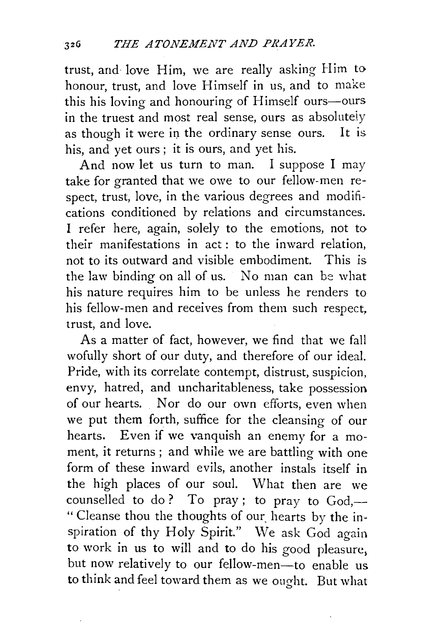trust, and love Him, we are really asking Him to honour, trust, and love Himself in us, and to make this his loving and honouring of Himself ours-ours in the truest and most real sense, ours as absolutely as though it were in the ordinary sense ours. It is. his, and yet ours ; it is ours, and yet his.

And now let us turn to man. I suppose I may take for granted that we owe to our fellow-men respect, trust, love, in the various degrees and modifications conditioned by relations and circumstances. I refer here, again, solely to the emotions, not to their manifestations in act : to the inward relation, not to its outward and visible embodiment. This is the law binding on all of us. No man can be what his nature requires him to be unless he renders to his fellow-men and receives from them such respect, trust, and love.

As a matter of fact, however, we find that we fall wofully short of our duty, and therefore of our ideal. Pride, with its correlate contempt, distrust, suspicion, envy, hatred, and uncharitableness, take possession of our hearts. Nor do our own efforts, even when we put them forth, suffice for the cleansing of our hearts. Even if we vanquish an enemy for a moment, it returns ; and while we are battling with one form of these inward evils, another instals itself in the high places of our soul. What then are we counselled to do? To pray; to pray to  $God, -$ " Cleanse thou the thoughts of our hearts by the inspiration of thy Holy Spirit." We ask God again to work in us to will and to do his good pleasure, but now relatively to our fellow-men-to enable us to think and feel toward them as we ought. But what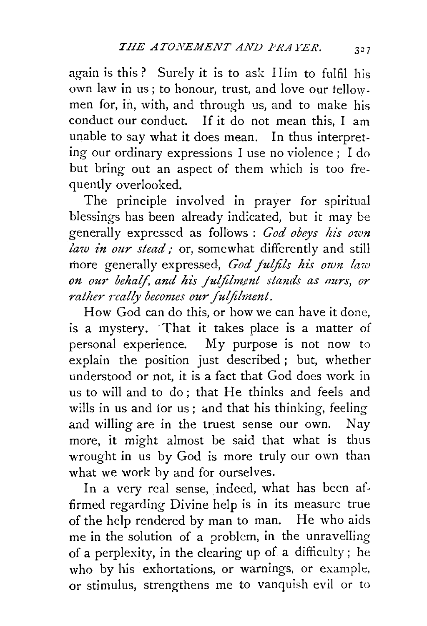again is this? Surely it is to ask Him to fulfil his own law in us; to honour, trust, and love our tello\Vmen for, in, with, and through us, and to make his conduct our conduct. If it do not mean this, I am unable to say what it does mean. In thus interpreting our ordinary expressions I use no violence ; I do but bring out an aspect of them which is too frequently overlooked.

The principle involved in prayer for spiritual blessings has been already indicated, but it may be generally expressed as follows : *God obeys his own law in our stead*; or, somewhat differently and still rhore generally expressed, *God fulfils his own law*  on our behalf, and his fulfilment stands as ours, or *rather really becomes our fulfilment.* 

How God can do this, or how we can have it done, is a mystery. ·That it takes place is a matter of personal experience. My purpose is not now to explain the position just described ; but, whether understood or not, it is a fact that God does work in us to will and to do; that He thinks and feels and wills in us and for us; and that his thinking, feeling and willing are in the truest sense our own. Nay more, it might almost be said that what is thus wrought in us by God is more truly our own than what we work by and for ourselves.

In a very real sense, indeed, what has been affirmed regarding Divine help is in its measure true of the help rendered by man to man. He who aids me in the solution of a problem, in the unravelling of a perplexity, in the clearing up of a difficulty; he who by his exhortations, or warnings, or example, or stimulus, strengthens me to vanquish evil or to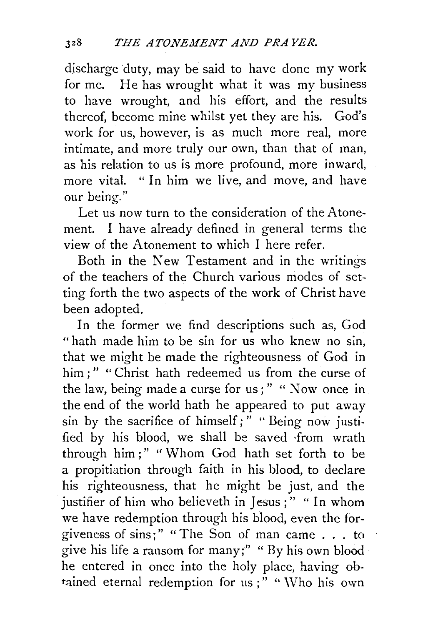discharge duty, may be said to have done my work for me. He has wrought what it was my business to have wrought, and his effort, and the results thereof, become mine whilst yet they are his. God's work for us, however, is as much more real, more intimate, and more truly our own, than that of man, as his relation to us is more profound, more inward, more vital. "In him we live, and move, and have our being."

Let us now turn to the consideration of the Atonement. I have already defined in general terms the view of the Atonement to which I here refer.

Both in the New Testament and in the writings of the teachers of the Church various modes of setting forth the two aspects of the work of Christ have been adopted.

In the former we find descriptions such as, God "hath made him to be sin for us who knew no sin, that we might be made the righteousness of God in him ;" "Christ hath redeemed us from the curse of the law, being made a curse for us ; " " Now once in the end of the world hath he appeared to put away sin by the sacrifice of himself; " " Being now justified by his blood, we shall be saved ·from wrath through him ; " " Whom God hath set forth to be a propitiation through faith in his blood, to declare his righteousness, that he might be just, and the justifier of him who believeth in Jesus;" "In whom we have redemption through his blood, even the forgiveness of sins;" "The Son of man came ... to give his life a ransom for many;" "By his own blood he entered in once into the holy place, having obtained eternal redemption for us;" "Who his own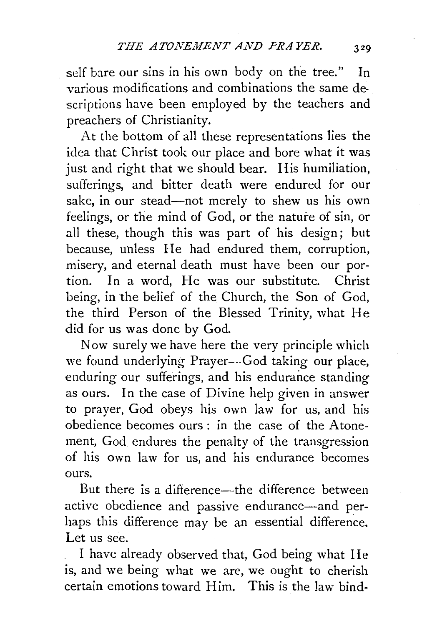self bare our sins in his own body on the tree." In various modifications and combinations the same descriptions have been employed by the teachers and preachers of Christianity.

At the bottom of all these representations lies the idea that Christ took our place and bore what it was just and right that we should bear. His humiliation, sufferings, and bitter death were endured for our sake, in our stead-not merely to shew us his own feelings, or the mind of God, or the nature of sin, or all these, though this was part of his design; but because, uhless He had endured them, corruption, misery, and eternal death must have been our portion. In a word, He was our substitute. Christ being, in the belief of the Church, the Son of God, the third Person of the Blessed Trinity, what He did for us was done by God.

Now surely we have here the very principle which we found underlying Prayer---God taking our place, enduring our sufferings, and his endurance standing as ours. In the case of Divine help given in answer to prayer, God obeys his own law for us, and his obedience becomes ours : in the case of the Atonement, God endures the penalty of the transgression of his own law for us, and his endurance becomes ours.

But there is a difference—the difference between active obedience and passive endurance-and perhaps this difference may be an essential difference. Let us see.

I have already observed that, God being what He is, and we being what we are, we ought to cherish certain emotions toward Him. This is the law bind-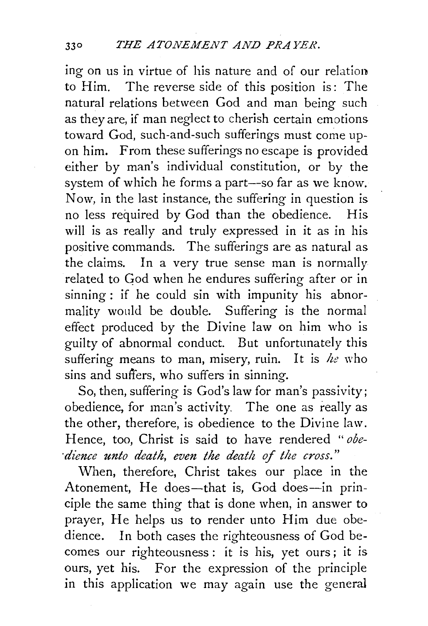ing on us in virtue of his nature and of our relation to Him. The reverse side of this position is: The natural relations between God and man being such as they are, if man neglect to cherish certain emotions toward God, such-and-such sufferings must come upon him. From these sufferings no escape is provided either by man's individual constitution, or by the system of which he forms a part--so far as we know. Now, in the last instance, the suffering in question is no less required by God than the obedience. His will is as really and truly expressed in it as in his positive commands. The sufferings are as natural as the claims. In a very true sense man is normally related to God when he endures suffering after or in sinning : if he could sin with impunity his abnormality would be double. Suffering is the normal effect produced by the Divine law on him who is guilty of abnormal conduct. But unfortunately this suffering means to man, misery, ruin. It is *he* who sins and sufiers, who suffers in sinning.

So, then, suffering is God's law for man's passivity; obedience, for man's activity. The one as really as the other, therefore, is obedience to the Divine law. Hence, too, Christ is said to have rendered *"obe- ·dience unto death, even the death of the cross."* 

When, therefore, Christ takes our place in the Atonement, He does-that is, God does-in principle the same thing that is done when, in answer to prayer, He helps us to render unto Him due obedience. In both cases the righteousness of God becomes our righteousness : it is his, yet ours; it is ours, yet his. For the expression of the principle in this application we may again use the general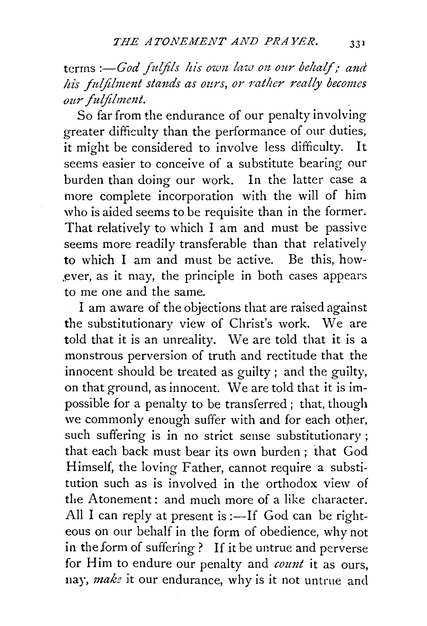terms *:-God fulfils his own law on our behalf; and* his fulfilment stands as ours, or rather really becomes  $our$  fulfilment.

So far from the endurance of our penalty involving greater difficulty than the performance of our duties, it might be considered to involve less difficulty. It seems easier to conceive of a substitute bearing our burden than doing our work. In the latter case a more complete incorporation with the will of him who is aided seems to be requisite than in the former. That relatively to which I am and must be passive seems more readily transferable than that relatively to which I am and must be active. Be this, how ever, as it may, the principle in both cases appears to me one and the same.

I am aware of the objections that are raised against the substitutionary view of Christ's work. We are told that it is an unreality. We are told that it is a monstrous perversion of truth and rectitude that the innocent should be treated as guilty ; and the guilty, on that ground, as innocent. We are told that it is impossible for a penalty to be transferred ; that, though we commonly enough suffer with and for each other, such suffering is in no strict sense substitutionary ; that each back must bear its own burden ; that God Himself, the loving Father, cannot require a substitution such as is involved in the orthodox view of the Atonement: and much more of a like character. All I can reply at present is :-If God can be righteous on our behalf in the form of obedience, why not in the form of suffering? If it be untrue and perverse for Him to endure our penalty and *count* it as ours, nay, *make* it our endurance, why is it not untrue and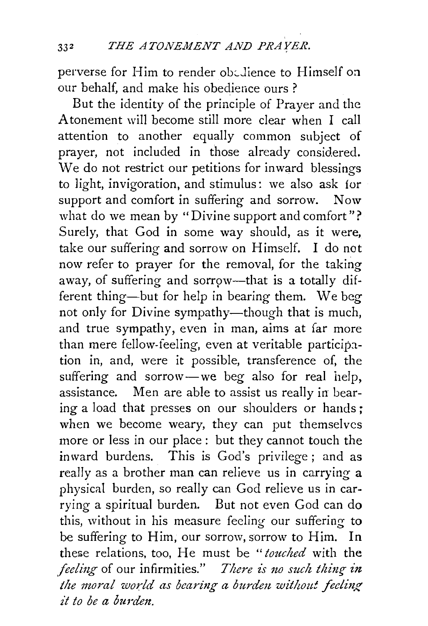perverse for Him to render obedience to Himself on our behalf, and make his obedience ours ?

But the identity of the principle of Prayer and the Atonement will become still more clear when I call attention to another equally common subject of prayer, not included in those already considered. We do not restrict our petitions for inward blessings to light, invigoration, and stimulus: we also ask for support and comfort in suffering and sorrow. Now what do we mean by "Divine support and comfort"? Surely, that God in some way should, as it were, take our suffering and sorrow on Himself. I do not now refer to prayer for the removal, for the taking away, of suffering and sorrow-that is a totally different thing-but for help in bearing them. We beg not only for Divine sympathy—though that is much, and true sympathy, even in man, aims at far more than mere fellow-feeling, even at veritable participation in, and, were it possible, transference of, the suffering and sorrow-we beg also for real help, assistance. Men are able to assist us really in bearing a load that presses on our shoulders or hands ; when we become weary, they can put themselves more or less in our place : but they cannot touch the in ward burdens. This is God's privilege ; and as really as a brother man can relieve us in carrying a physical burden, so really can God relieve us in carrying a spiritual burden. But not even God can do this, without in his measure feeling our suffering to be suffering to Him, our sorrow, sorrow to Him. In these relations, too, He must be "*touched* with the *feeling* of our infirmities." *There is no such thing in the moral world as bearing a burden without feeling £t to be a burdm.*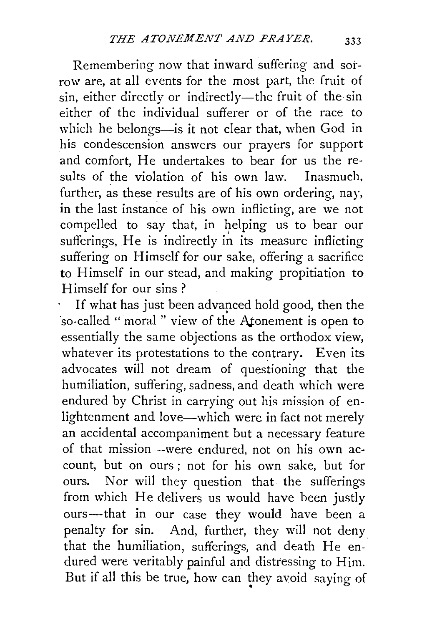Remembering now that inward suffering and sorrow are, at all events for the most part, the fruit of sin, either directly or indirectly-the fruit of the sin either of the individual sufferer or of the race to which he belongs-is it not clear that, when God in his condescension answers our prayers for support and comfort, He undertakes to bear for us the results of the violation of his own law. Inasmuch, further, as these results are of his own ordering, nay, in the last instance of his own inflicting, are we not compelled to say that, in helping us to bear our sufferings, He is indirectly in its measure inflicting suffering on Himself for our sake, offering a sacrifice to Himself in our stead, and making propitiation to Himself for our sins ?

If what has just been advanced hold good, then the ·so-called " moral " view of the Atonement is open to essentially the same objections as the orthodox view, whatever its protestations to the contrary. Even its advocates will not dream of questioning that the humiliation, suffering, sadness, and death which were endured by Christ in carrying out his mission of enlightenment and love-which were in fact not merely an accidental accompaniment but a necessary feature of that mission--were endured, not on his own account, but on ours ; not for his own sake, but for ours. Nor will they question that the sufferings from which He delivers us would have been justly ours-that in our case they would have been a penalty for sin. And, further, they will not deny that the humiliation, sufferings, and death He en-. dured were. veritably painful and distressing to Him. But if all this be true, how can they avoid saying of